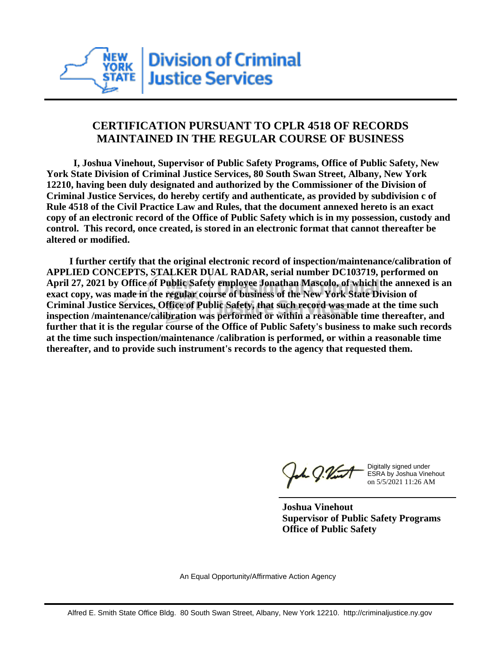

## **CERTIFICATION PURSUANT TO CPLR 4518 OF RECORDS MAINTAINED IN THE REGULAR COURSE OF BUSINESS**

 **I, Joshua Vinehout, Supervisor of Public Safety Programs, Office of Public Safety, New York State Division of Criminal Justice Services, 80 South Swan Street, Albany, New York 12210, having been duly designated and authorized by the Commissioner of the Division of Criminal Justice Services, do hereby certify and authenticate, as provided by subdivision c of Rule 4518 of the Civil Practice Law and Rules, that the document annexed hereto is an exact copy of an electronic record of the Office of Public Safety which is in my possession, custody and control. This record, once created, is stored in an electronic format that cannot thereafter be altered or modified.**

 **I further certify that the original electronic record of inspection/maintenance/calibration of APPLIED CONCEPTS, STALKER DUAL RADAR, serial number DC103719, performed on April 27, 2021 by Office of Public Safety employee Jonathan Mascolo, of which the annexed is an exact copy, was made in the regular course of business of the New York State Division of Criminal Justice Services, Office of Public Safety, that such record was made at the time such inspection /maintenance/calibration was performed or within a reasonable time thereafter, and further that it is the regular course of the Office of Public Safety's business to make such records at the time such inspection/maintenance /calibration is performed, or within a reasonable time thereafter, and to provide such instrument's records to the agency that requested them.**

the g. Vint

Digitally signed under ESRA by Joshua Vinehout on 5/5/2021 11:26 AM

**Joshua Vinehout Supervisor of Public Safety Programs Office of Public Safety**

An Equal Opportunity/Affirmative Action Agency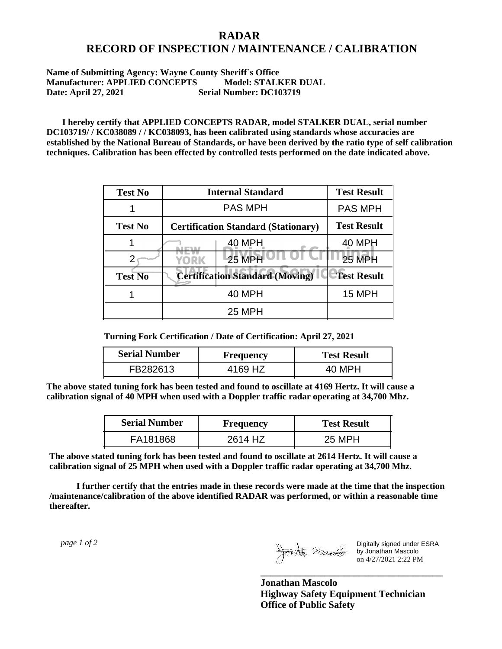## **RADAR RECORD OF INSPECTION / MAINTENANCE / CALIBRATION**

## **Name of Submitting Agency: Wayne County Sheriff`s Office Manufacturer: APPLIED CONCEPTS Model: STALKER DUAL Date: April 27, 2021 Serial Number: DC103719**

 **I hereby certify that APPLIED CONCEPTS RADAR, model STALKER DUAL, serial number DC103719/ / KC038089 / / KC038093, has been calibrated using standards whose accuracies are established by the National Bureau of Standards, or have been derived by the ratio type of self calibration techniques. Calibration has been effected by controlled tests performed on the date indicated above.**

| <b>Test No</b> | <b>Internal Standard</b>                   | <b>Test Result</b> |
|----------------|--------------------------------------------|--------------------|
|                | <b>PAS MPH</b>                             | <b>PAS MPH</b>     |
| <b>Test No</b> | <b>Certification Standard (Stationary)</b> | <b>Test Result</b> |
|                | 40 MPH                                     | 40 MPH             |
|                | <b>25 MPH</b><br>YORK                      | <b>25 MPH</b>      |
| <b>Test No</b> | <b>Certification Standard (Moving)</b>     | <b>Test Result</b> |
|                | <b>40 MPH</b>                              | 15 MPH             |
|                | <b>25 MPH</b>                              |                    |

**Turning Fork Certification / Date of Certification: April 27, 2021**

| <b>Serial Number</b> | <b>Frequency</b> | <b>Test Result</b> |
|----------------------|------------------|--------------------|
| FB282613             | 4169 HZ          |                    |

**The above stated tuning fork has been tested and found to oscillate at 4169 Hertz. It will cause a calibration signal of 40 MPH when used with a Doppler traffic radar operating at 34,700 Mhz.**

| <b>Serial Number</b> | Frequency | <b>Test Result</b> |
|----------------------|-----------|--------------------|
| FA181868             | 2614 HZ   | 25 MPH             |

**The above stated tuning fork has been tested and found to oscillate at 2614 Hertz. It will cause a calibration signal of 25 MPH when used with a Doppler traffic radar operating at 34,700 Mhz.**

 **I further certify that the entries made in these records were made at the time that the inspection /maintenance/calibration of the above identified RADAR was performed, or within a reasonable time thereafter.**

 *page 1 of 2* 

Digitally signed under ESRA by Jonathan Mascolo on 4/27/2021 2:22 PM

**Jonathan Mascolo Highway Safety Equipment Technician Office of Public Safety**

**\_\_\_\_\_\_\_\_\_\_\_\_\_\_\_\_\_\_\_\_\_\_\_\_\_\_\_\_\_\_\_\_\_\_\_\_\_**